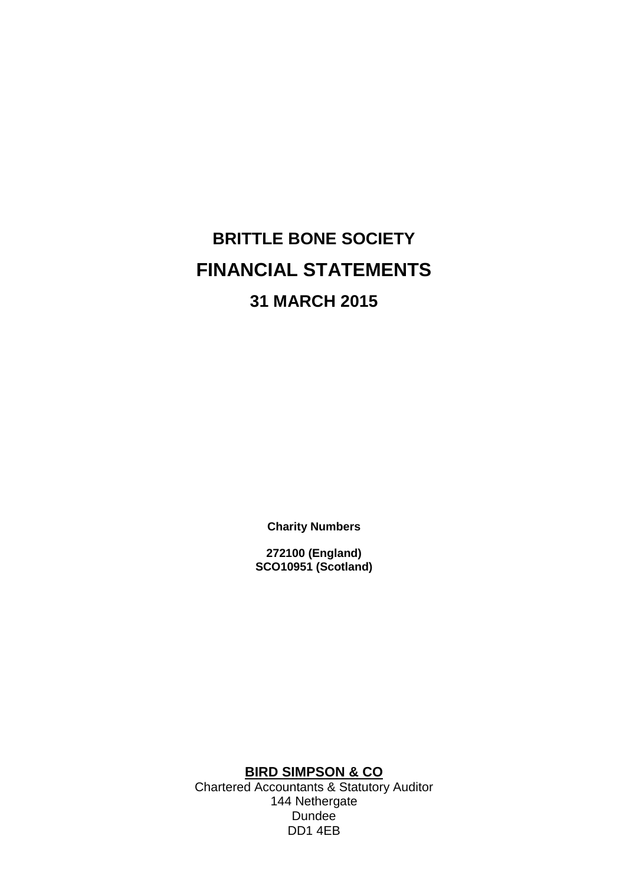# **BRITTLE BONE SOCIETY FINANCIAL STATEMENTS 31 MARCH 2015**

**Charity Numbers**

**272100 (England) SCO10951 (Scotland)**

**BIRD SIMPSON & CO**

Chartered Accountants & Statutory Auditor 144 Nethergate Dundee DD1 4EB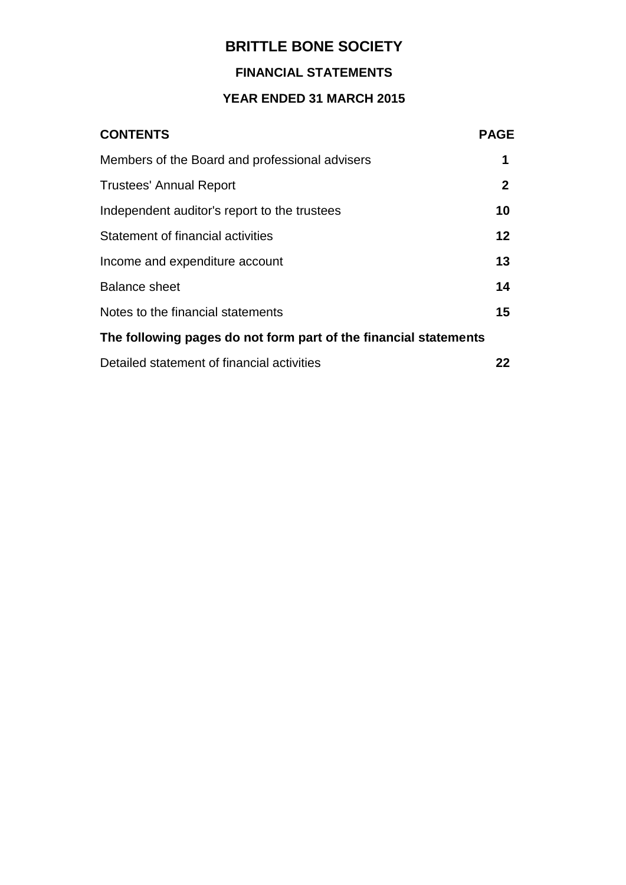## **FINANCIAL STATEMENTS**

| <b>CONTENTS</b>                                                  | <b>PAGE</b>  |
|------------------------------------------------------------------|--------------|
| Members of the Board and professional advisers                   | 1            |
| <b>Trustees' Annual Report</b>                                   | $\mathbf{2}$ |
| Independent auditor's report to the trustees                     | 10           |
| Statement of financial activities                                | 12           |
| Income and expenditure account                                   | 13           |
| <b>Balance sheet</b>                                             | 14           |
| Notes to the financial statements                                | 15           |
| The following pages do not form part of the financial statements |              |
| Detailed statement of financial activities                       | 22           |
|                                                                  |              |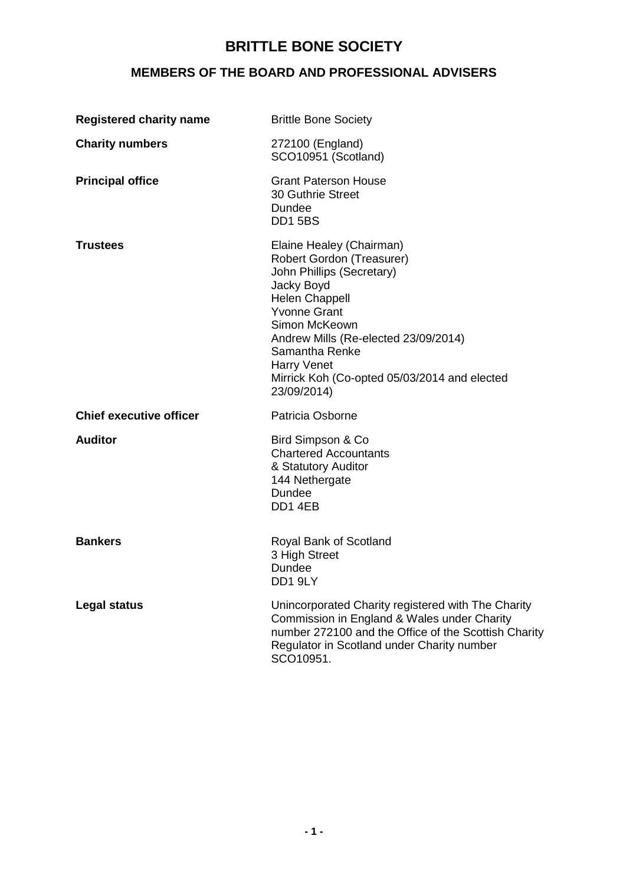## **MEMBERS OF THE BOARD AND PROFESSIONAL ADVISERS**

| <b>Registered charity name</b> | <b>Brittle Bone Society</b>                                                                                                                                                                                                                                                                                      |
|--------------------------------|------------------------------------------------------------------------------------------------------------------------------------------------------------------------------------------------------------------------------------------------------------------------------------------------------------------|
| <b>Charity numbers</b>         | 272100 (England)<br>SCO10951 (Scotland)                                                                                                                                                                                                                                                                          |
| <b>Principal office</b>        | <b>Grant Paterson House</b><br>30 Guthrie Street<br><b>Dundee</b><br><b>DD1 5BS</b>                                                                                                                                                                                                                              |
| <b>Trustees</b>                | Elaine Healey (Chairman)<br>Robert Gordon (Treasurer)<br>John Phillips (Secretary)<br>Jacky Boyd<br><b>Helen Chappell</b><br><b>Yvonne Grant</b><br>Simon McKeown<br>Andrew Mills (Re-elected 23/09/2014)<br>Samantha Renke<br><b>Harry Venet</b><br>Mirrick Koh (Co-opted 05/03/2014 and elected<br>23/09/2014) |
| <b>Chief executive officer</b> | Patricia Osborne                                                                                                                                                                                                                                                                                                 |
| <b>Auditor</b>                 | Bird Simpson & Co<br><b>Chartered Accountants</b><br>& Statutory Auditor<br>144 Nethergate<br><b>Dundee</b><br>DD14EB                                                                                                                                                                                            |
| <b>Bankers</b>                 | Royal Bank of Scotland<br>3 High Street<br>Dundee<br>DD19LY                                                                                                                                                                                                                                                      |
| Legal status                   | Unincorporated Charity registered with The Charity<br>Commission in England & Wales under Charity<br>number 272100 and the Office of the Scottish Charity<br>Regulator in Scotland under Charity number<br>SCO10951.                                                                                             |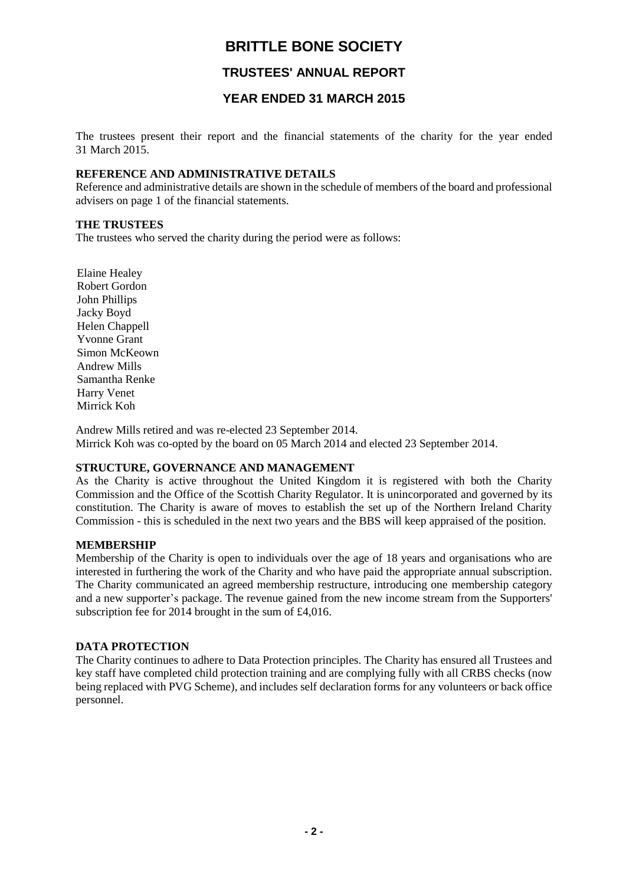### **TRUSTEES' ANNUAL REPORT**

### **YEAR ENDED 31 MARCH 2015**

The trustees present their report and the financial statements of the charity for the year ended 31 March 2015.

#### **REFERENCE AND ADMINISTRATIVE DETAILS**

Reference and administrative details are shown in the schedule of members of the board and professional advisers on page 1 of the financial statements.

#### **THE TRUSTEES**

The trustees who served the charity during the period were as follows:

Elaine Healey Robert Gordon John Phillips Jacky Boyd Helen Chappell Yvonne Grant Simon McKeown Andrew Mills Samantha Renke Harry Venet Mirrick Koh

Andrew Mills retired and was re-elected 23 September 2014. Mirrick Koh was co-opted by the board on 05 March 2014 and elected 23 September 2014.

#### **STRUCTURE, GOVERNANCE AND MANAGEMENT**

As the Charity is active throughout the United Kingdom it is registered with both the Charity Commission and the Office of the Scottish Charity Regulator. It is unincorporated and governed by its constitution. The Charity is aware of moves to establish the set up of the Northern Ireland Charity Commission - this is scheduled in the next two years and the BBS will keep appraised of the position.

#### **MEMBERSHIP**

Membership of the Charity is open to individuals over the age of 18 years and organisations who are interested in furthering the work of the Charity and who have paid the appropriate annual subscription. The Charity communicated an agreed membership restructure, introducing one membership category and a new supporter's package. The revenue gained from the new income stream from the Supporters' subscription fee for 2014 brought in the sum of £4,016.

#### **DATA PROTECTION**

The Charity continues to adhere to Data Protection principles. The Charity has ensured all Trustees and key staff have completed child protection training and are complying fully with all CRBS checks (now being replaced with PVG Scheme), and includes self declaration forms for any volunteers or back office personnel.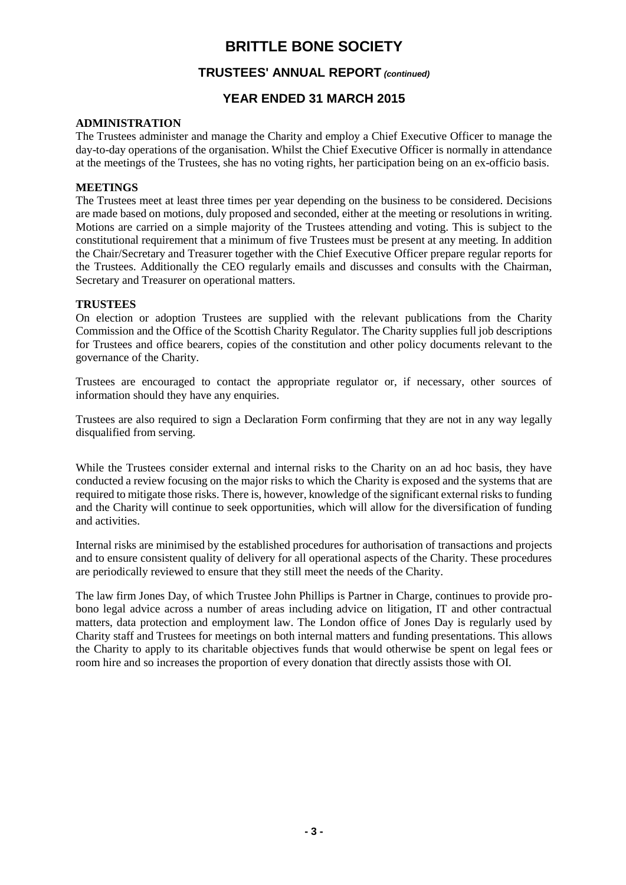### **TRUSTEES' ANNUAL REPORT** *(continued)*

### **YEAR ENDED 31 MARCH 2015**

#### **ADMINISTRATION**

The Trustees administer and manage the Charity and employ a Chief Executive Officer to manage the day-to-day operations of the organisation. Whilst the Chief Executive Officer is normally in attendance at the meetings of the Trustees, she has no voting rights, her participation being on an ex-officio basis.

#### **MEETINGS**

The Trustees meet at least three times per year depending on the business to be considered. Decisions are made based on motions, duly proposed and seconded, either at the meeting or resolutions in writing. Motions are carried on a simple majority of the Trustees attending and voting. This is subject to the constitutional requirement that a minimum of five Trustees must be present at any meeting. In addition the Chair/Secretary and Treasurer together with the Chief Executive Officer prepare regular reports for the Trustees. Additionally the CEO regularly emails and discusses and consults with the Chairman, Secretary and Treasurer on operational matters.

#### **TRUSTEES**

On election or adoption Trustees are supplied with the relevant publications from the Charity Commission and the Office of the Scottish Charity Regulator. The Charity supplies full job descriptions for Trustees and office bearers, copies of the constitution and other policy documents relevant to the governance of the Charity.

Trustees are encouraged to contact the appropriate regulator or, if necessary, other sources of information should they have any enquiries.

Trustees are also required to sign a Declaration Form confirming that they are not in any way legally disqualified from serving.

While the Trustees consider external and internal risks to the Charity on an ad hoc basis, they have conducted a review focusing on the major risks to which the Charity is exposed and the systems that are required to mitigate those risks. There is, however, knowledge of the significant external risks to funding and the Charity will continue to seek opportunities, which will allow for the diversification of funding and activities.

Internal risks are minimised by the established procedures for authorisation of transactions and projects and to ensure consistent quality of delivery for all operational aspects of the Charity. These procedures are periodically reviewed to ensure that they still meet the needs of the Charity.

The law firm Jones Day, of which Trustee John Phillips is Partner in Charge, continues to provide probono legal advice across a number of areas including advice on litigation, IT and other contractual matters, data protection and employment law. The London office of Jones Day is regularly used by Charity staff and Trustees for meetings on both internal matters and funding presentations. This allows the Charity to apply to its charitable objectives funds that would otherwise be spent on legal fees or room hire and so increases the proportion of every donation that directly assists those with OI.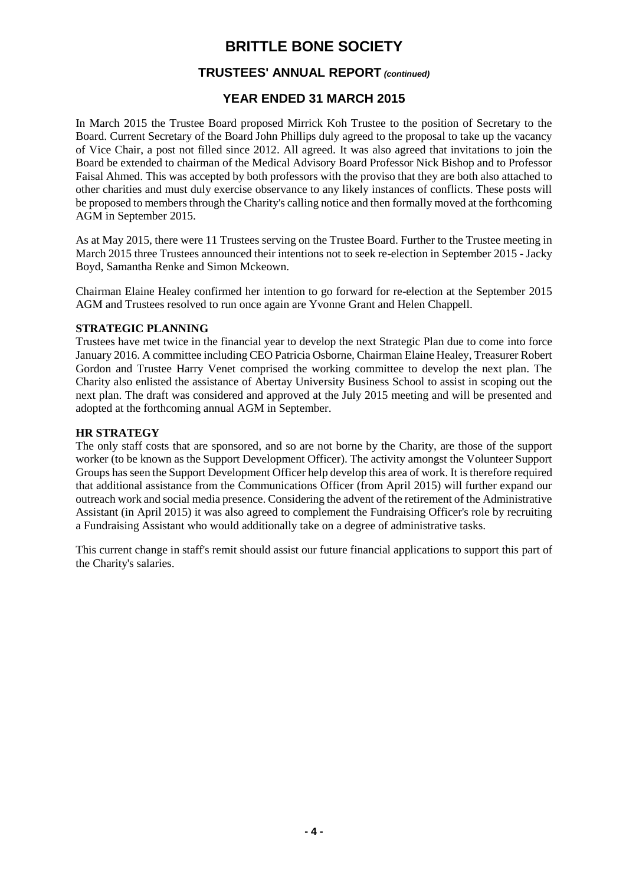### **TRUSTEES' ANNUAL REPORT** *(continued)*

### **YEAR ENDED 31 MARCH 2015**

In March 2015 the Trustee Board proposed Mirrick Koh Trustee to the position of Secretary to the Board. Current Secretary of the Board John Phillips duly agreed to the proposal to take up the vacancy of Vice Chair, a post not filled since 2012. All agreed. It was also agreed that invitations to join the Board be extended to chairman of the Medical Advisory Board Professor Nick Bishop and to Professor Faisal Ahmed. This was accepted by both professors with the proviso that they are both also attached to other charities and must duly exercise observance to any likely instances of conflicts. These posts will be proposed to members through the Charity's calling notice and then formally moved at the forthcoming AGM in September 2015.

As at May 2015, there were 11 Trustees serving on the Trustee Board. Further to the Trustee meeting in March 2015 three Trustees announced their intentions not to seek re-election in September 2015 - Jacky Boyd, Samantha Renke and Simon Mckeown.

Chairman Elaine Healey confirmed her intention to go forward for re-election at the September 2015 AGM and Trustees resolved to run once again are Yvonne Grant and Helen Chappell.

#### **STRATEGIC PLANNING**

Trustees have met twice in the financial year to develop the next Strategic Plan due to come into force January 2016. A committee including CEO Patricia Osborne, Chairman Elaine Healey, Treasurer Robert Gordon and Trustee Harry Venet comprised the working committee to develop the next plan. The Charity also enlisted the assistance of Abertay University Business School to assist in scoping out the next plan. The draft was considered and approved at the July 2015 meeting and will be presented and adopted at the forthcoming annual AGM in September.

#### **HR STRATEGY**

The only staff costs that are sponsored, and so are not borne by the Charity, are those of the support worker (to be known as the Support Development Officer). The activity amongst the Volunteer Support Groups has seen the Support Development Officer help develop this area of work. It is therefore required that additional assistance from the Communications Officer (from April 2015) will further expand our outreach work and social media presence. Considering the advent of the retirement of the Administrative Assistant (in April 2015) it was also agreed to complement the Fundraising Officer's role by recruiting a Fundraising Assistant who would additionally take on a degree of administrative tasks.

This current change in staff's remit should assist our future financial applications to support this part of the Charity's salaries.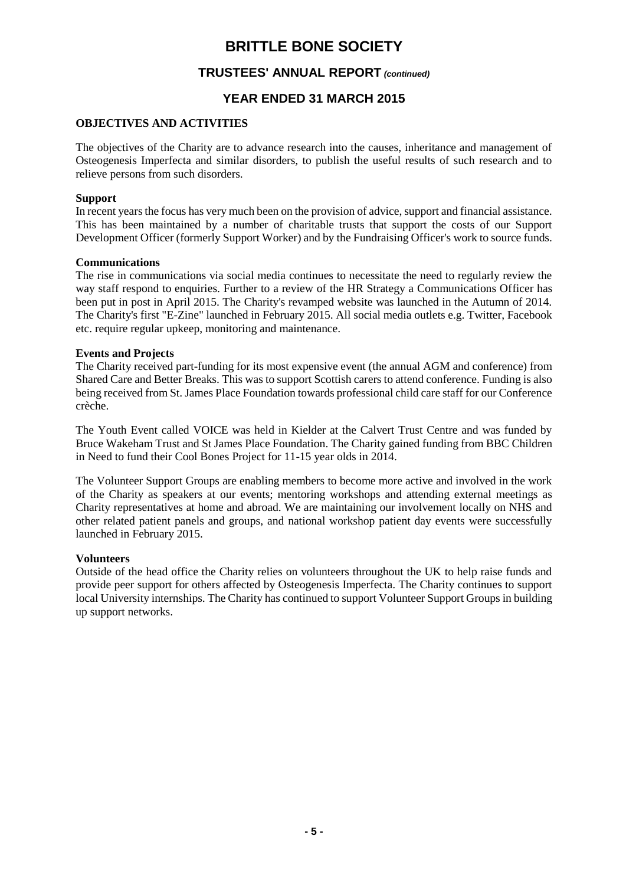### **TRUSTEES' ANNUAL REPORT** *(continued)*

### **YEAR ENDED 31 MARCH 2015**

#### **OBJECTIVES AND ACTIVITIES**

The objectives of the Charity are to advance research into the causes, inheritance and management of Osteogenesis Imperfecta and similar disorders, to publish the useful results of such research and to relieve persons from such disorders.

#### **Support**

In recent years the focus has very much been on the provision of advice, support and financial assistance. This has been maintained by a number of charitable trusts that support the costs of our Support Development Officer (formerly Support Worker) and by the Fundraising Officer's work to source funds.

#### **Communications**

The rise in communications via social media continues to necessitate the need to regularly review the way staff respond to enquiries. Further to a review of the HR Strategy a Communications Officer has been put in post in April 2015. The Charity's revamped website was launched in the Autumn of 2014. The Charity's first "E-Zine" launched in February 2015. All social media outlets e.g. Twitter, Facebook etc. require regular upkeep, monitoring and maintenance.

#### **Events and Projects**

The Charity received part-funding for its most expensive event (the annual AGM and conference) from Shared Care and Better Breaks. This was to support Scottish carers to attend conference. Funding is also being received from St. James Place Foundation towards professional child care staff for our Conference crèche.

The Youth Event called VOICE was held in Kielder at the Calvert Trust Centre and was funded by Bruce Wakeham Trust and St James Place Foundation. The Charity gained funding from BBC Children in Need to fund their Cool Bones Project for 11-15 year olds in 2014.

The Volunteer Support Groups are enabling members to become more active and involved in the work of the Charity as speakers at our events; mentoring workshops and attending external meetings as Charity representatives at home and abroad. We are maintaining our involvement locally on NHS and other related patient panels and groups, and national workshop patient day events were successfully launched in February 2015.

#### **Volunteers**

Outside of the head office the Charity relies on volunteers throughout the UK to help raise funds and provide peer support for others affected by Osteogenesis Imperfecta. The Charity continues to support local University internships. The Charity has continued to support Volunteer Support Groups in building up support networks.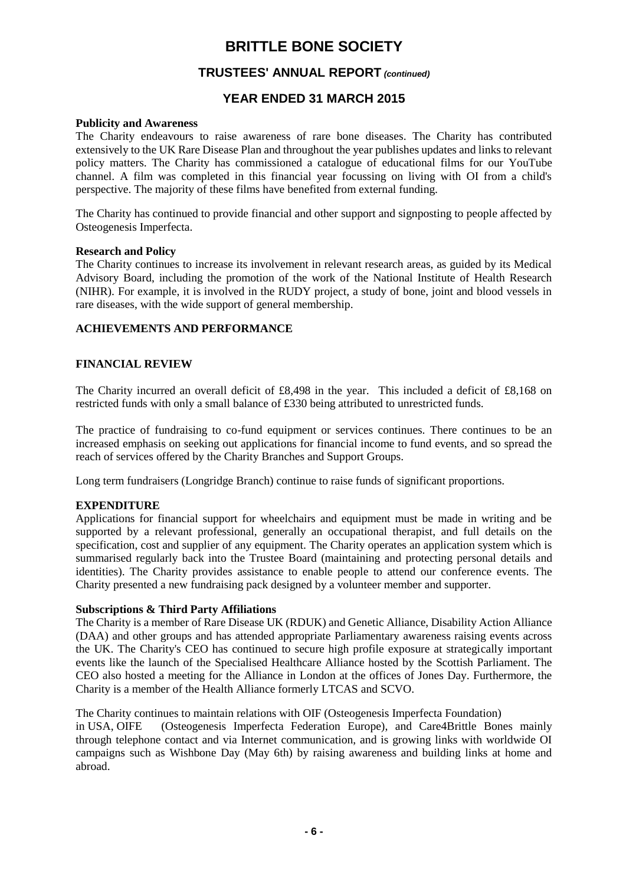### **TRUSTEES' ANNUAL REPORT** *(continued)*

### **YEAR ENDED 31 MARCH 2015**

#### **Publicity and Awareness**

The Charity endeavours to raise awareness of rare bone diseases. The Charity has contributed extensively to the UK Rare Disease Plan and throughout the year publishes updates and links to relevant policy matters. The Charity has commissioned a catalogue of educational films for our YouTube channel. A film was completed in this financial year focussing on living with OI from a child's perspective. The majority of these films have benefited from external funding.

The Charity has continued to provide financial and other support and signposting to people affected by Osteogenesis Imperfecta.

#### **Research and Policy**

The Charity continues to increase its involvement in relevant research areas, as guided by its Medical Advisory Board, including the promotion of the work of the National Institute of Health Research (NIHR). For example, it is involved in the RUDY project, a study of bone, joint and blood vessels in rare diseases, with the wide support of general membership.

#### **ACHIEVEMENTS AND PERFORMANCE**

#### **FINANCIAL REVIEW**

The Charity incurred an overall deficit of £8,498 in the year. This included a deficit of £8,168 on restricted funds with only a small balance of £330 being attributed to unrestricted funds.

The practice of fundraising to co-fund equipment or services continues. There continues to be an increased emphasis on seeking out applications for financial income to fund events, and so spread the reach of services offered by the Charity Branches and Support Groups.

Long term fundraisers (Longridge Branch) continue to raise funds of significant proportions.

#### **EXPENDITURE**

Applications for financial support for wheelchairs and equipment must be made in writing and be supported by a relevant professional, generally an occupational therapist, and full details on the specification, cost and supplier of any equipment. The Charity operates an application system which is summarised regularly back into the Trustee Board (maintaining and protecting personal details and identities). The Charity provides assistance to enable people to attend our conference events. The Charity presented a new fundraising pack designed by a volunteer member and supporter.

#### **Subscriptions & Third Party Affiliations**

The Charity is a member of Rare Disease UK (RDUK) and Genetic Alliance, Disability Action Alliance (DAA) and other groups and has attended appropriate Parliamentary awareness raising events across the UK. The Charity's CEO has continued to secure high profile exposure at strategically important events like the launch of the Specialised Healthcare Alliance hosted by the Scottish Parliament. The CEO also hosted a meeting for the Alliance in London at the offices of Jones Day. Furthermore, the Charity is a member of the Health Alliance formerly LTCAS and SCVO.

The Charity continues to maintain relations with OIF (Osteogenesis Imperfecta Foundation) in USA, OIFE (Osteogenesis Imperfecta Federation Europe), and Care4Brittle Bones mainly through telephone contact and via Internet communication, and is growing links with worldwide OI campaigns such as Wishbone Day (May 6th) by raising awareness and building links at home and abroad.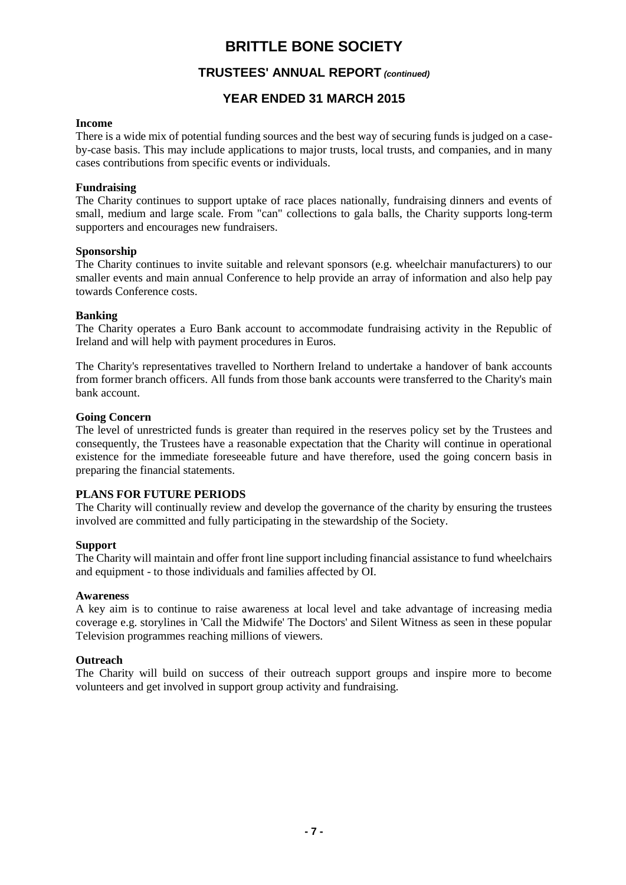### **TRUSTEES' ANNUAL REPORT** *(continued)*

### **YEAR ENDED 31 MARCH 2015**

#### **Income**

There is a wide mix of potential funding sources and the best way of securing funds is judged on a caseby-case basis. This may include applications to major trusts, local trusts, and companies, and in many cases contributions from specific events or individuals.

#### **Fundraising**

The Charity continues to support uptake of race places nationally, fundraising dinners and events of small, medium and large scale. From "can" collections to gala balls, the Charity supports long-term supporters and encourages new fundraisers.

#### **Sponsorship**

The Charity continues to invite suitable and relevant sponsors (e.g. wheelchair manufacturers) to our smaller events and main annual Conference to help provide an array of information and also help pay towards Conference costs.

#### **Banking**

The Charity operates a Euro Bank account to accommodate fundraising activity in the Republic of Ireland and will help with payment procedures in Euros.

The Charity's representatives travelled to Northern Ireland to undertake a handover of bank accounts from former branch officers. All funds from those bank accounts were transferred to the Charity's main bank account.

#### **Going Concern**

The level of unrestricted funds is greater than required in the reserves policy set by the Trustees and consequently, the Trustees have a reasonable expectation that the Charity will continue in operational existence for the immediate foreseeable future and have therefore, used the going concern basis in preparing the financial statements.

#### **PLANS FOR FUTURE PERIODS**

The Charity will continually review and develop the governance of the charity by ensuring the trustees involved are committed and fully participating in the stewardship of the Society.

#### **Support**

The Charity will maintain and offer front line support including financial assistance to fund wheelchairs and equipment - to those individuals and families affected by OI.

#### **Awareness**

A key aim is to continue to raise awareness at local level and take advantage of increasing media coverage e.g. storylines in 'Call the Midwife' The Doctors' and Silent Witness as seen in these popular Television programmes reaching millions of viewers.

#### **Outreach**

The Charity will build on success of their outreach support groups and inspire more to become volunteers and get involved in support group activity and fundraising.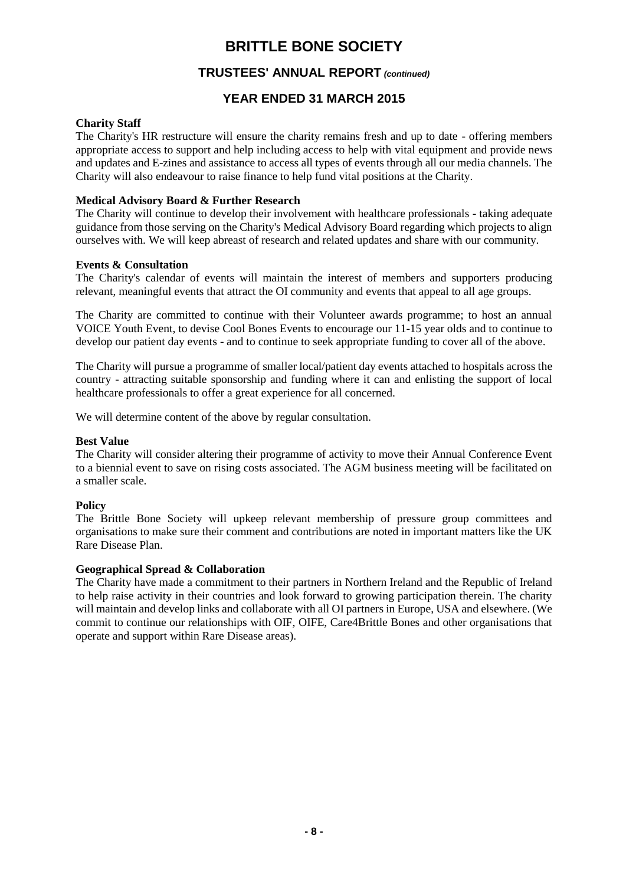### **TRUSTEES' ANNUAL REPORT** *(continued)*

### **YEAR ENDED 31 MARCH 2015**

#### **Charity Staff**

The Charity's HR restructure will ensure the charity remains fresh and up to date - offering members appropriate access to support and help including access to help with vital equipment and provide news and updates and E-zines and assistance to access all types of events through all our media channels. The Charity will also endeavour to raise finance to help fund vital positions at the Charity.

#### **Medical Advisory Board & Further Research**

The Charity will continue to develop their involvement with healthcare professionals - taking adequate guidance from those serving on the Charity's Medical Advisory Board regarding which projects to align ourselves with. We will keep abreast of research and related updates and share with our community.

#### **Events & Consultation**

The Charity's calendar of events will maintain the interest of members and supporters producing relevant, meaningful events that attract the OI community and events that appeal to all age groups.

The Charity are committed to continue with their Volunteer awards programme; to host an annual VOICE Youth Event, to devise Cool Bones Events to encourage our 11-15 year olds and to continue to develop our patient day events - and to continue to seek appropriate funding to cover all of the above.

The Charity will pursue a programme of smaller local/patient day events attached to hospitals across the country - attracting suitable sponsorship and funding where it can and enlisting the support of local healthcare professionals to offer a great experience for all concerned.

We will determine content of the above by regular consultation.

#### **Best Value**

The Charity will consider altering their programme of activity to move their Annual Conference Event to a biennial event to save on rising costs associated. The AGM business meeting will be facilitated on a smaller scale.

#### **Policy**

The Brittle Bone Society will upkeep relevant membership of pressure group committees and organisations to make sure their comment and contributions are noted in important matters like the UK Rare Disease Plan.

#### **Geographical Spread & Collaboration**

The Charity have made a commitment to their partners in Northern Ireland and the Republic of Ireland to help raise activity in their countries and look forward to growing participation therein. The charity will maintain and develop links and collaborate with all OI partners in Europe, USA and elsewhere. (We commit to continue our relationships with OIF, OIFE, Care4Brittle Bones and other organisations that operate and support within Rare Disease areas).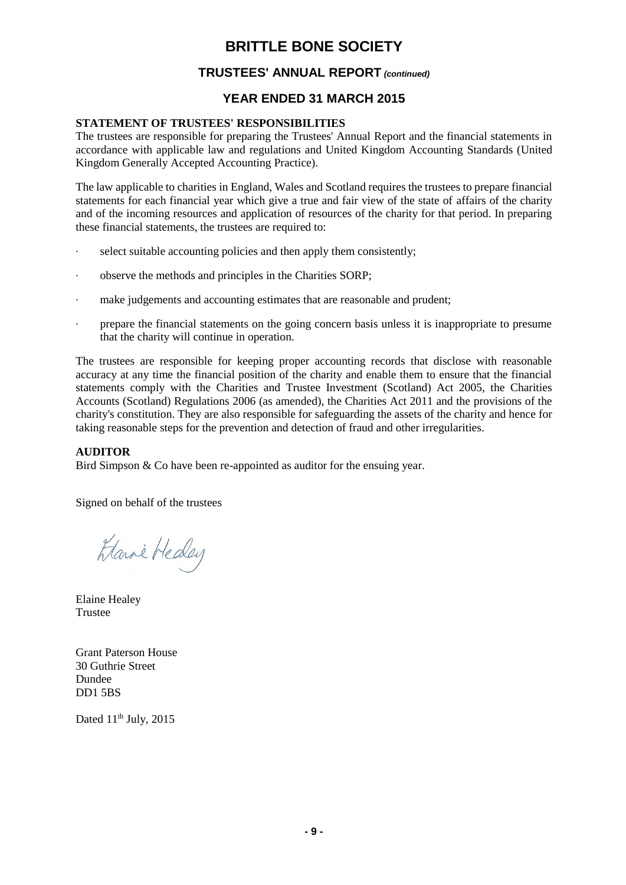### **TRUSTEES' ANNUAL REPORT** *(continued)*

### **YEAR ENDED 31 MARCH 2015**

#### **STATEMENT OF TRUSTEES' RESPONSIBILITIES**

The trustees are responsible for preparing the Trustees' Annual Report and the financial statements in accordance with applicable law and regulations and United Kingdom Accounting Standards (United Kingdom Generally Accepted Accounting Practice).

The law applicable to charities in England, Wales and Scotland requires the trustees to prepare financial statements for each financial year which give a true and fair view of the state of affairs of the charity and of the incoming resources and application of resources of the charity for that period. In preparing these financial statements, the trustees are required to:

- select suitable accounting policies and then apply them consistently;
- · observe the methods and principles in the Charities SORP;
- · make judgements and accounting estimates that are reasonable and prudent;
- · prepare the financial statements on the going concern basis unless it is inappropriate to presume that the charity will continue in operation.

The trustees are responsible for keeping proper accounting records that disclose with reasonable accuracy at any time the financial position of the charity and enable them to ensure that the financial statements comply with the Charities and Trustee Investment (Scotland) Act 2005, the Charities Accounts (Scotland) Regulations 2006 (as amended), the Charities Act 2011 and the provisions of the charity's constitution. They are also responsible for safeguarding the assets of the charity and hence for taking reasonable steps for the prevention and detection of fraud and other irregularities.

#### **AUDITOR**

Bird Simpson & Co have been re-appointed as auditor for the ensuing year.

Signed on behalf of the trustees

Etani Heday

Elaine Healey Trustee

Grant Paterson House 30 Guthrie Street Dundee DD1 5BS

Dated 11<sup>th</sup> July, 2015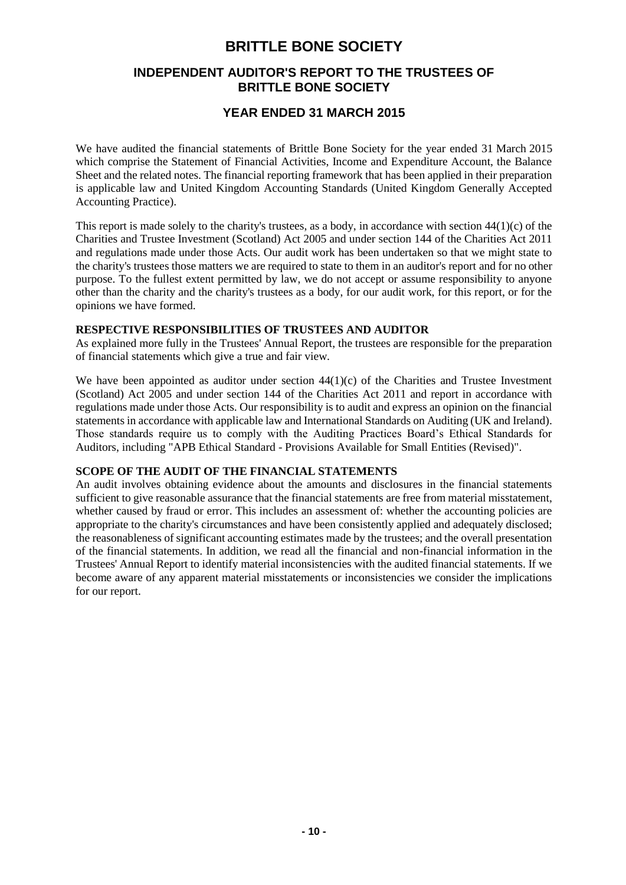### **INDEPENDENT AUDITOR'S REPORT TO THE TRUSTEES OF BRITTLE BONE SOCIETY**

### **YEAR ENDED 31 MARCH 2015**

We have audited the financial statements of Brittle Bone Society for the year ended 31 March 2015 which comprise the Statement of Financial Activities, Income and Expenditure Account, the Balance Sheet and the related notes. The financial reporting framework that has been applied in their preparation is applicable law and United Kingdom Accounting Standards (United Kingdom Generally Accepted Accounting Practice).

This report is made solely to the charity's trustees, as a body, in accordance with section 44(1)(c) of the Charities and Trustee Investment (Scotland) Act 2005 and under section 144 of the Charities Act 2011 and regulations made under those Acts. Our audit work has been undertaken so that we might state to the charity's trustees those matters we are required to state to them in an auditor's report and for no other purpose. To the fullest extent permitted by law, we do not accept or assume responsibility to anyone other than the charity and the charity's trustees as a body, for our audit work, for this report, or for the opinions we have formed.

#### **RESPECTIVE RESPONSIBILITIES OF TRUSTEES AND AUDITOR**

As explained more fully in the Trustees' Annual Report, the trustees are responsible for the preparation of financial statements which give a true and fair view.

We have been appointed as auditor under section  $44(1)(c)$  of the Charities and Trustee Investment (Scotland) Act 2005 and under section 144 of the Charities Act 2011 and report in accordance with regulations made under those Acts. Our responsibility is to audit and express an opinion on the financial statements in accordance with applicable law and International Standards on Auditing (UK and Ireland). Those standards require us to comply with the Auditing Practices Board's Ethical Standards for Auditors, including "APB Ethical Standard - Provisions Available for Small Entities (Revised)".

#### **SCOPE OF THE AUDIT OF THE FINANCIAL STATEMENTS**

An audit involves obtaining evidence about the amounts and disclosures in the financial statements sufficient to give reasonable assurance that the financial statements are free from material misstatement, whether caused by fraud or error. This includes an assessment of: whether the accounting policies are appropriate to the charity's circumstances and have been consistently applied and adequately disclosed; the reasonableness of significant accounting estimates made by the trustees; and the overall presentation of the financial statements. In addition, we read all the financial and non-financial information in the Trustees' Annual Report to identify material inconsistencies with the audited financial statements. If we become aware of any apparent material misstatements or inconsistencies we consider the implications for our report.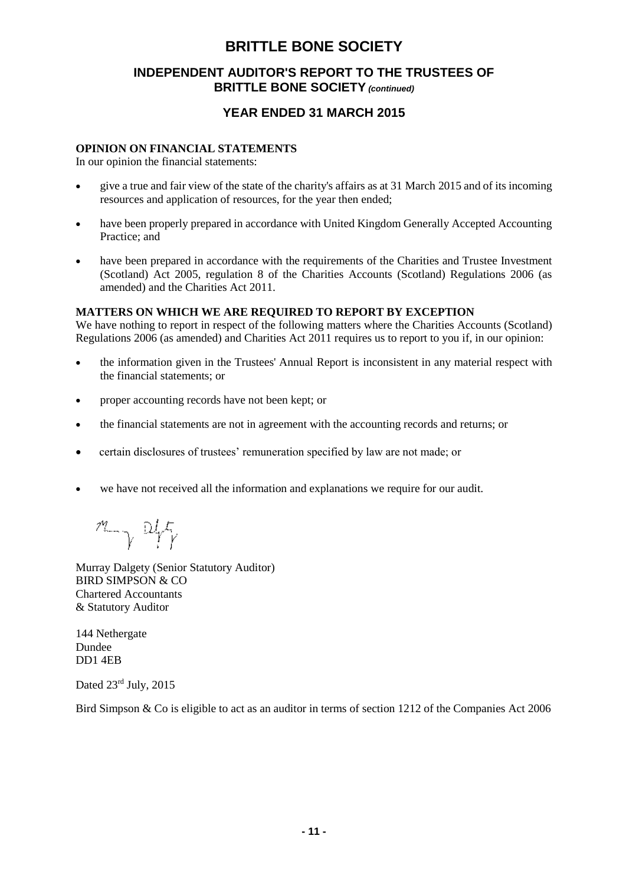### **INDEPENDENT AUDITOR'S REPORT TO THE TRUSTEES OF BRITTLE BONE SOCIETY** *(continued)*

### **YEAR ENDED 31 MARCH 2015**

#### **OPINION ON FINANCIAL STATEMENTS**

In our opinion the financial statements:

- give a true and fair view of the state of the charity's affairs as at 31 March 2015 and of its incoming resources and application of resources, for the year then ended;
- have been properly prepared in accordance with United Kingdom Generally Accepted Accounting Practice; and
- have been prepared in accordance with the requirements of the Charities and Trustee Investment (Scotland) Act 2005, regulation 8 of the Charities Accounts (Scotland) Regulations 2006 (as amended) and the Charities Act 2011.

#### **MATTERS ON WHICH WE ARE REQUIRED TO REPORT BY EXCEPTION**

We have nothing to report in respect of the following matters where the Charities Accounts (Scotland) Regulations 2006 (as amended) and Charities Act 2011 requires us to report to you if, in our opinion:

- the information given in the Trustees' Annual Report is inconsistent in any material respect with the financial statements; or
- proper accounting records have not been kept; or
- the financial statements are not in agreement with the accounting records and returns; or
- certain disclosures of trustees' remuneration specified by law are not made; or
- we have not received all the information and explanations we require for our audit.

 $m_{\gamma}$  off

Murray Dalgety (Senior Statutory Auditor) BIRD SIMPSON & CO Chartered Accountants & Statutory Auditor

144 Nethergate Dundee DD1 4EB

Dated  $23<sup>rd</sup>$  July, 2015

Bird Simpson & Co is eligible to act as an auditor in terms of section 1212 of the Companies Act 2006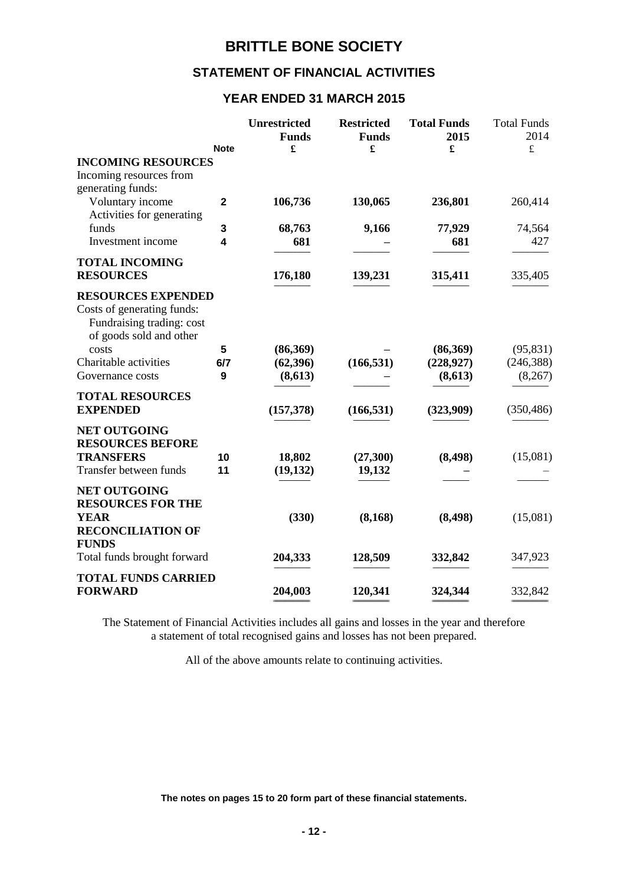### **STATEMENT OF FINANCIAL ACTIVITIES**

### **YEAR ENDED 31 MARCH 2015**

|                                                                                                                 | <b>Note</b> | <b>Unrestricted</b><br><b>Funds</b><br>£ | <b>Restricted</b><br><b>Funds</b><br>£ | <b>Total Funds</b><br>2015<br>£ | <b>Total Funds</b><br>2014<br>$\pounds$ |
|-----------------------------------------------------------------------------------------------------------------|-------------|------------------------------------------|----------------------------------------|---------------------------------|-----------------------------------------|
| <b>INCOMING RESOURCES</b><br>Incoming resources from<br>generating funds:                                       |             |                                          |                                        |                                 |                                         |
| Voluntary income<br>Activities for generating                                                                   | $\mathbf 2$ | 106,736                                  | 130,065                                | 236,801                         | 260,414                                 |
| funds                                                                                                           | 3           | 68,763                                   | 9,166                                  | 77,929                          | 74,564                                  |
| Investment income                                                                                               | 4           | 681                                      |                                        | 681                             | 427                                     |
| <b>TOTAL INCOMING</b><br><b>RESOURCES</b>                                                                       |             | 176,180                                  | 139,231                                | 315,411                         | 335,405                                 |
| <b>RESOURCES EXPENDED</b><br>Costs of generating funds:<br>Fundraising trading: cost<br>of goods sold and other |             |                                          |                                        |                                 |                                         |
| costs                                                                                                           | 5           | (86,369)                                 |                                        | (86,369)                        | (95, 831)                               |
| Charitable activities                                                                                           | 6/7         | (62, 396)                                | (166, 531)                             | (228, 927)                      | (246, 388)                              |
| Governance costs                                                                                                | 9           | (8,613)                                  |                                        | (8,613)                         | (8,267)                                 |
| <b>TOTAL RESOURCES</b><br><b>EXPENDED</b>                                                                       |             | (157,378)                                | (166, 531)                             | (323,909)                       | (350, 486)                              |
| <b>NET OUTGOING</b><br><b>RESOURCES BEFORE</b>                                                                  |             |                                          |                                        |                                 |                                         |
| <b>TRANSFERS</b>                                                                                                | 10          | 18,802                                   | (27,300)                               | (8, 498)                        | (15,081)                                |
| Transfer between funds                                                                                          | 11          | (19, 132)                                | 19,132                                 |                                 |                                         |
| <b>NET OUTGOING</b><br><b>RESOURCES FOR THE</b>                                                                 |             |                                          |                                        |                                 |                                         |
| <b>YEAR</b><br><b>RECONCILIATION OF</b><br><b>FUNDS</b>                                                         |             | (330)                                    | (8, 168)                               | (8, 498)                        | (15,081)                                |
| Total funds brought forward                                                                                     |             | 204,333                                  | 128,509                                | 332,842                         | 347,923                                 |
| <b>TOTAL FUNDS CARRIED</b><br><b>FORWARD</b>                                                                    |             | 204,003                                  | 120,341                                | 324,344                         | 332,842                                 |
|                                                                                                                 |             |                                          |                                        |                                 |                                         |

The Statement of Financial Activities includes all gains and losses in the year and therefore a statement of total recognised gains and losses has not been prepared.

All of the above amounts relate to continuing activities.

**The notes on pages 15 to 20 form part of these financial statements.**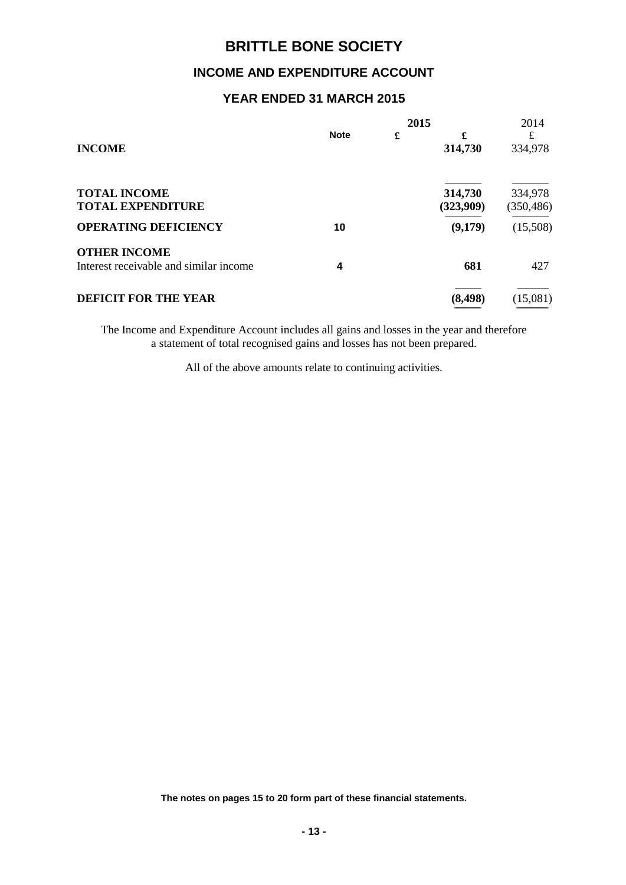### **INCOME AND EXPENDITURE ACCOUNT**

### **YEAR ENDED 31 MARCH 2015**

|                                                               | 2015        |   |                      | 2014                  |  |
|---------------------------------------------------------------|-------------|---|----------------------|-----------------------|--|
| <b>INCOME</b>                                                 | <b>Note</b> | £ | £<br>314,730         | £<br>334,978          |  |
| <b>TOTAL INCOME</b><br><b>TOTAL EXPENDITURE</b>               |             |   | 314,730<br>(323,909) | 334,978<br>(350, 486) |  |
| <b>OPERATING DEFICIENCY</b>                                   | 10          |   | (9,179)              | (15,508)              |  |
| <b>OTHER INCOME</b><br>Interest receivable and similar income | 4           |   | 681                  | 427                   |  |
| <b>DEFICIT FOR THE YEAR</b>                                   |             |   | (8, 498)             | (15,081)              |  |

The Income and Expenditure Account includes all gains and losses in the year and therefore a statement of total recognised gains and losses has not been prepared.

All of the above amounts relate to continuing activities.

**The notes on pages 15 to 20 form part of these financial statements.**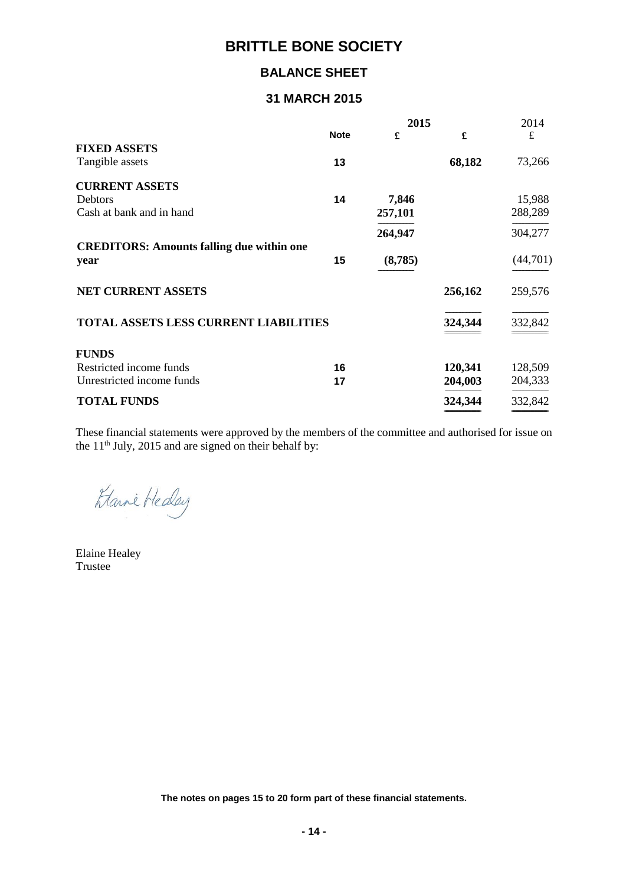### **BALANCE SHEET**

### **31 MARCH 2015**

|                                                  | 2015        |         | 2014    |           |
|--------------------------------------------------|-------------|---------|---------|-----------|
|                                                  | <b>Note</b> | £       | £       | $\pounds$ |
| <b>FIXED ASSETS</b>                              |             |         |         |           |
| Tangible assets                                  | 13          |         | 68,182  | 73,266    |
| <b>CURRENT ASSETS</b>                            |             |         |         |           |
| Debtors                                          | 14          | 7,846   |         | 15,988    |
| Cash at bank and in hand                         |             | 257,101 |         | 288,289   |
|                                                  |             | 264,947 |         | 304,277   |
| <b>CREDITORS: Amounts falling due within one</b> |             |         |         |           |
| year                                             | 15          | (8,785) |         | (44,701)  |
| <b>NET CURRENT ASSETS</b>                        |             |         | 256,162 | 259,576   |
| <b>TOTAL ASSETS LESS CURRENT LIABILITIES</b>     |             |         | 324,344 | 332,842   |
|                                                  |             |         |         |           |
| <b>FUNDS</b>                                     |             |         |         |           |
| Restricted income funds                          | 16          |         | 120,341 | 128,509   |
| Unrestricted income funds                        | 17          |         | 204,003 | 204,333   |
| <b>TOTAL FUNDS</b>                               |             |         | 324,344 | 332,842   |
|                                                  |             |         |         |           |

These financial statements were approved by the members of the committee and authorised for issue on these ministants statements were approached by:<br>the  $11<sup>th</sup>$  July, 2015 and are signed on their behalf by:

Llanie Heday

Elaine Healey Trustee

**The notes on pages 15 to 20 form part of these financial statements.**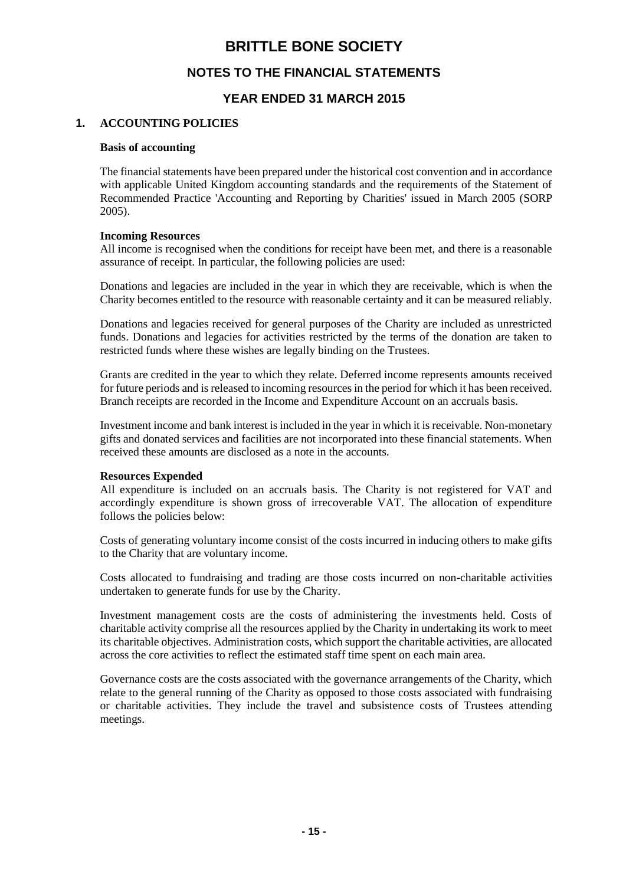### **NOTES TO THE FINANCIAL STATEMENTS**

### **YEAR ENDED 31 MARCH 2015**

### **1. ACCOUNTING POLICIES**

#### **Basis of accounting**

The financial statements have been prepared under the historical cost convention and in accordance with applicable United Kingdom accounting standards and the requirements of the Statement of Recommended Practice 'Accounting and Reporting by Charities' issued in March 2005 (SORP 2005).

#### **Incoming Resources**

All income is recognised when the conditions for receipt have been met, and there is a reasonable assurance of receipt. In particular, the following policies are used:

Donations and legacies are included in the year in which they are receivable, which is when the Charity becomes entitled to the resource with reasonable certainty and it can be measured reliably.

Donations and legacies received for general purposes of the Charity are included as unrestricted funds. Donations and legacies for activities restricted by the terms of the donation are taken to restricted funds where these wishes are legally binding on the Trustees.

Grants are credited in the year to which they relate. Deferred income represents amounts received for future periods and is released to incoming resources in the period for which it has been received. Branch receipts are recorded in the Income and Expenditure Account on an accruals basis.

Investment income and bank interest is included in the year in which it is receivable. Non-monetary gifts and donated services and facilities are not incorporated into these financial statements. When received these amounts are disclosed as a note in the accounts.

#### **Resources Expended**

All expenditure is included on an accruals basis. The Charity is not registered for VAT and accordingly expenditure is shown gross of irrecoverable VAT. The allocation of expenditure follows the policies below:

Costs of generating voluntary income consist of the costs incurred in inducing others to make gifts to the Charity that are voluntary income.

Costs allocated to fundraising and trading are those costs incurred on non-charitable activities undertaken to generate funds for use by the Charity.

Investment management costs are the costs of administering the investments held. Costs of charitable activity comprise all the resources applied by the Charity in undertaking its work to meet its charitable objectives. Administration costs, which support the charitable activities, are allocated across the core activities to reflect the estimated staff time spent on each main area.

Governance costs are the costs associated with the governance arrangements of the Charity, which relate to the general running of the Charity as opposed to those costs associated with fundraising or charitable activities. They include the travel and subsistence costs of Trustees attending meetings.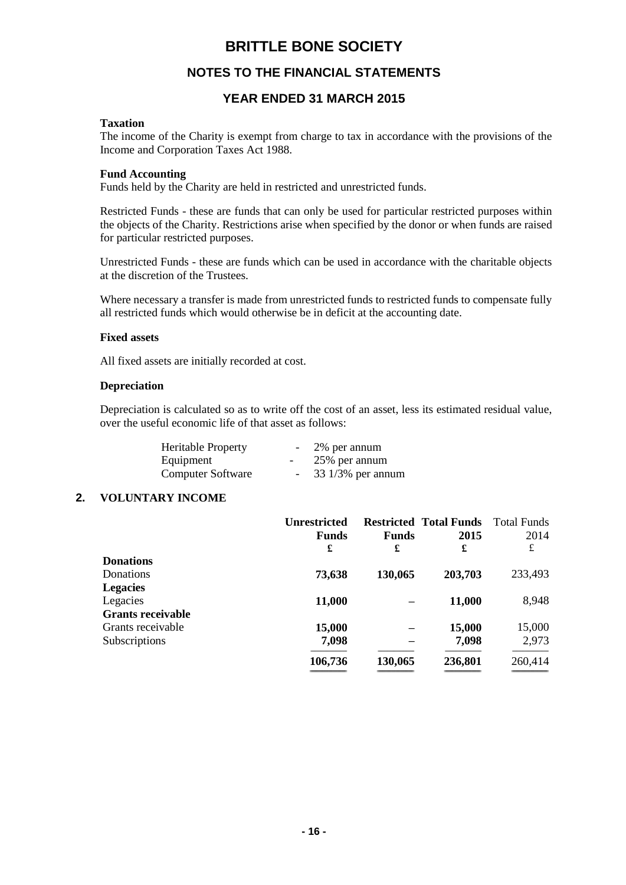### **NOTES TO THE FINANCIAL STATEMENTS**

### **YEAR ENDED 31 MARCH 2015**

#### **Taxation**

The income of the Charity is exempt from charge to tax in accordance with the provisions of the Income and Corporation Taxes Act 1988.

#### **Fund Accounting**

Funds held by the Charity are held in restricted and unrestricted funds.

Restricted Funds - these are funds that can only be used for particular restricted purposes within the objects of the Charity. Restrictions arise when specified by the donor or when funds are raised for particular restricted purposes.

Unrestricted Funds - these are funds which can be used in accordance with the charitable objects at the discretion of the Trustees.

Where necessary a transfer is made from unrestricted funds to restricted funds to compensate fully all restricted funds which would otherwise be in deficit at the accounting date.

#### **Fixed assets**

All fixed assets are initially recorded at cost.

#### **Depreciation**

Depreciation is calculated so as to write off the cost of an asset, less its estimated residual value, over the useful economic life of that asset as follows:

| <b>Heritable Property</b> | $\overline{\phantom{0}}$ | 2% per annum      |
|---------------------------|--------------------------|-------------------|
| Equipment                 | $\overline{\phantom{0}}$ | 25% per annum     |
| <b>Computer Software</b>  | $\overline{\phantom{0}}$ | 33 1/3% per annum |

#### **2. VOLUNTARY INCOME**

|                          | <b>Unrestricted</b> |              | <b>Restricted Total Funds</b> | <b>Total Funds</b> |
|--------------------------|---------------------|--------------|-------------------------------|--------------------|
|                          | <b>Funds</b>        | <b>Funds</b> | 2015                          | 2014               |
|                          | £                   | £            | £                             | £                  |
| <b>Donations</b>         |                     |              |                               |                    |
| Donations                | 73,638              | 130,065      | 203,703                       | 233,493            |
| <b>Legacies</b>          |                     |              |                               |                    |
| Legacies                 | 11,000              |              | 11,000                        | 8,948              |
| <b>Grants receivable</b> |                     |              |                               |                    |
| Grants receivable        | 15,000              |              | 15,000                        | 15,000             |
| Subscriptions            | 7,098               |              | 7,098                         | 2,973              |
|                          | 106,736             | 130,065      | 236,801                       | 260,414            |

==================================== ==================================== ==================================== ====================================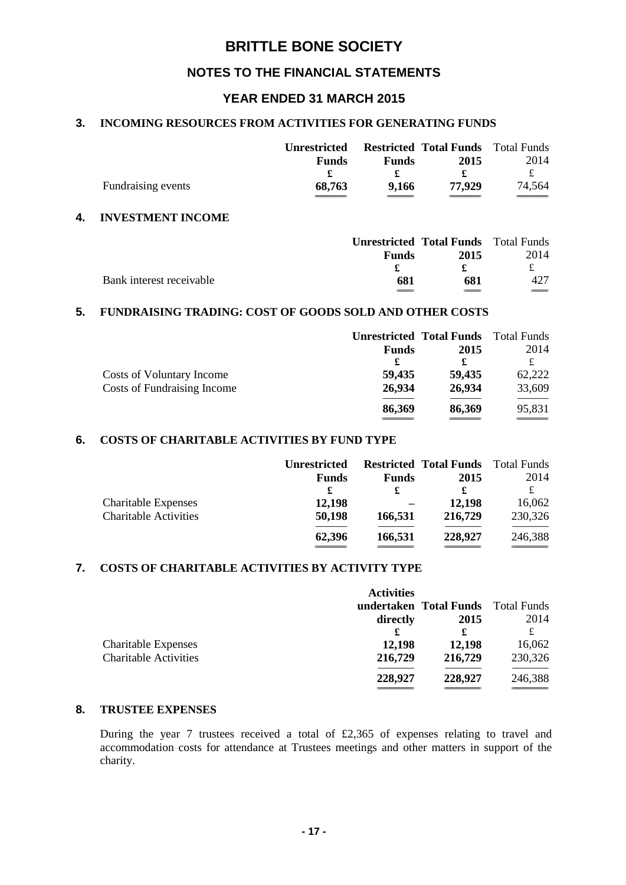### **NOTES TO THE FINANCIAL STATEMENTS**

### **YEAR ENDED 31 MARCH 2015**

### **3. INCOMING RESOURCES FROM ACTIVITIES FOR GENERATING FUNDS**

|                    | <b>Unrestricted</b> |              | <b>Restricted Total Funds</b> Total Funds |        |
|--------------------|---------------------|--------------|-------------------------------------------|--------|
|                    | <b>Funds</b>        | <b>Funds</b> | 2015                                      | 2014   |
|                    |                     |              |                                           | £      |
| Fundraising events | 68,763              | 9.166        | 77.929                                    | 74,564 |
|                    |                     |              |                                           |        |

#### **4. INVESTMENT INCOME**

|                          |              | <b>Unrestricted Total Funds</b> Total Funds |      |
|--------------------------|--------------|---------------------------------------------|------|
|                          | <b>Funds</b> | 2015                                        | 2014 |
|                          |              |                                             |      |
| Bank interest receivable | 681          | 681                                         | 427  |
|                          |              |                                             |      |

### **5. FUNDRAISING TRADING: COST OF GOODS SOLD AND OTHER COSTS**

|                             |              | <b>Unrestricted Total Funds</b> | Total Funds |
|-----------------------------|--------------|---------------------------------|-------------|
|                             | <b>Funds</b> | 2015                            | 2014        |
|                             |              | £                               |             |
| Costs of Voluntary Income   | 59,435       | 59,435                          | 62,222      |
| Costs of Fundraising Income | 26,934       | 26,934                          | 33,609      |
|                             | 86,369       | 86,369                          | 95,831      |

#### **6. COSTS OF CHARITABLE ACTIVITIES BY FUND TYPE**

|                              | <b>Unrestricted</b> |              | <b>Restricted Total Funds</b> | <b>Total Funds</b> |
|------------------------------|---------------------|--------------|-------------------------------|--------------------|
|                              | <b>Funds</b>        | <b>Funds</b> | 2015                          | 2014               |
|                              | £                   |              | £                             |                    |
| <b>Charitable Expenses</b>   | 12,198              |              | 12,198                        | 16,062             |
| <b>Charitable Activities</b> | 50,198              | 166,531      | 216,729                       | 230,326            |
|                              | 62,396              | 166,531      | 228,927                       | 246,388            |

#### **7. COSTS OF CHARITABLE ACTIVITIES BY ACTIVITY TYPE**

| <b>Activities</b> |         |                        |
|-------------------|---------|------------------------|
|                   |         | <b>Total Funds</b>     |
| directly          | 2015    | 2014                   |
|                   | £       | £                      |
| 12,198            | 12,198  | 16,062                 |
| 216,729           | 216,729 | 230,326                |
| 228,927           | 228,927 | 246,388                |
|                   |         | undertaken Total Funds |

### **8. TRUSTEE EXPENSES**

During the year 7 trustees received a total of £2,365 of expenses relating to travel and accommodation costs for attendance at Trustees meetings and other matters in support of the charity.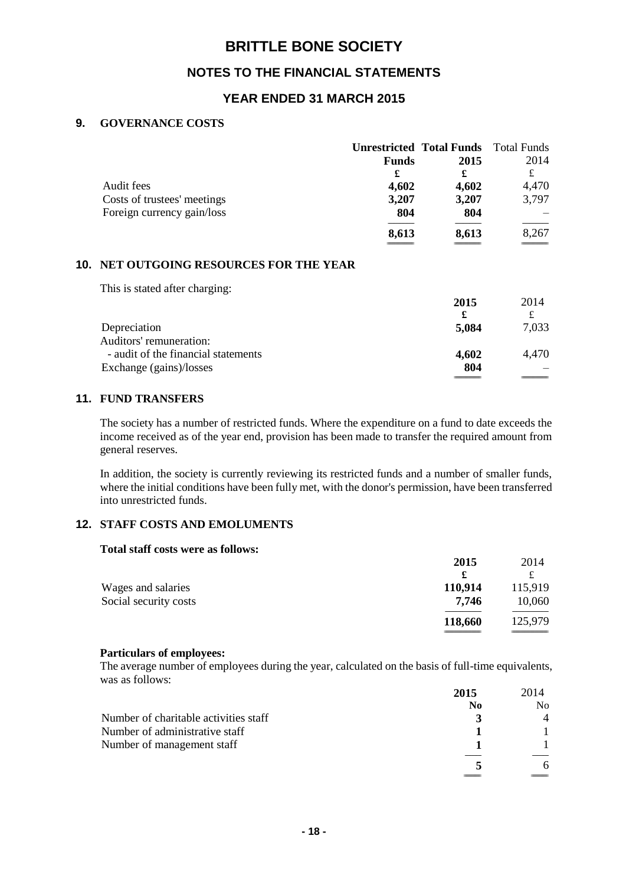### **NOTES TO THE FINANCIAL STATEMENTS**

### **YEAR ENDED 31 MARCH 2015**

#### **9. GOVERNANCE COSTS**

|                             |              | <b>Unrestricted Total Funds</b> Total Funds |       |
|-----------------------------|--------------|---------------------------------------------|-------|
|                             | <b>Funds</b> | 2015                                        | 2014  |
|                             | £            | £                                           | £     |
| Audit fees                  | 4,602        | 4,602                                       | 4,470 |
| Costs of trustees' meetings | 3,207        | 3,207                                       | 3,797 |
| Foreign currency gain/loss  | 804          | 804                                         |       |
|                             | 8,613        | 8,613                                       | 8,267 |
|                             |              |                                             |       |

#### **10. NET OUTGOING RESOURCES FOR THE YEAR**

This is stated after charging:

|                                     | 2015  | 2014  |
|-------------------------------------|-------|-------|
|                                     | £     | £     |
| Depreciation                        | 5,084 | 7,033 |
| Auditors' remuneration:             |       |       |
| - audit of the financial statements | 4,602 | 4.470 |
| Exchange (gains)/losses             | 804   |       |
|                                     |       |       |

#### **11. FUND TRANSFERS**

The society has a number of restricted funds. Where the expenditure on a fund to date exceeds the income received as of the year end, provision has been made to transfer the required amount from general reserves.

In addition, the society is currently reviewing its restricted funds and a number of smaller funds, where the initial conditions have been fully met, with the donor's permission, have been transferred into unrestricted funds.

#### **12. STAFF COSTS AND EMOLUMENTS**

#### **Total staff costs were as follows:**

|                       | 2015    | 2014    |
|-----------------------|---------|---------|
|                       | £       |         |
| Wages and salaries    | 110,914 | 115,919 |
| Social security costs | 7.746   | 10,060  |
|                       | 118,660 | 125,979 |
|                       |         |         |

#### **Particulars of employees:**

The average number of employees during the year, calculated on the basis of full-time equivalents, was as follows:

|                                       | 2015 | 2014 |
|---------------------------------------|------|------|
|                                       | N0   | No.  |
| Number of charitable activities staff |      |      |
| Number of administrative staff        |      |      |
| Number of management staff            |      |      |
|                                       |      |      |
|                                       |      | 6    |
|                                       |      |      |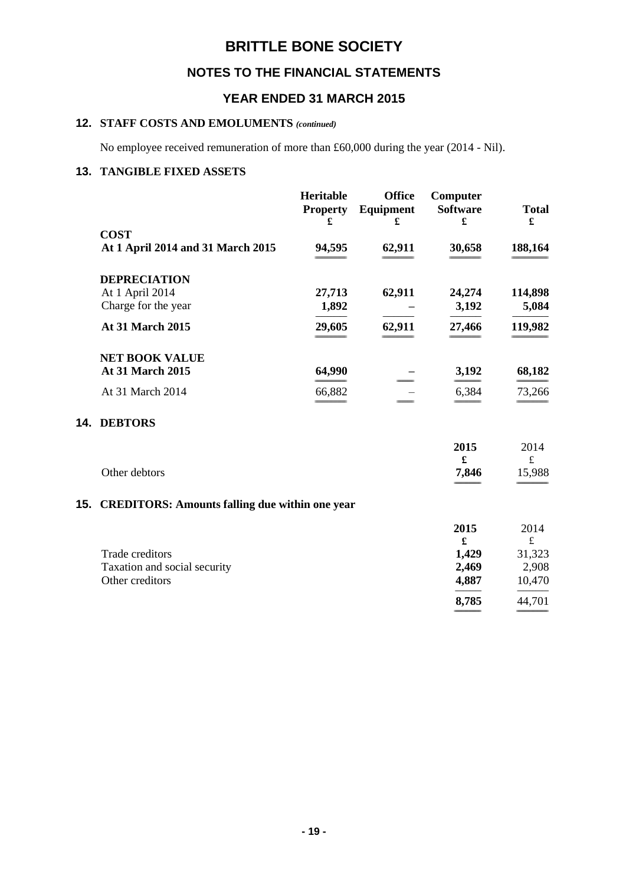### **NOTES TO THE FINANCIAL STATEMENTS**

### **YEAR ENDED 31 MARCH 2015**

### **12. STAFF COSTS AND EMOLUMENTS** *(continued)*

No employee received remuneration of more than £60,000 during the year (2014 - Nil).

### **13. TANGIBLE FIXED ASSETS**

|                                   | <b>Heritable</b>     | <b>Office</b><br>Equipment | Computer<br><b>Software</b> | <b>Total</b> |
|-----------------------------------|----------------------|----------------------------|-----------------------------|--------------|
|                                   | <b>Property</b><br>£ | £                          | £                           | £            |
| <b>COST</b>                       |                      |                            |                             |              |
| At 1 April 2014 and 31 March 2015 | 94,595               | 62,911                     | 30,658                      | 188,164      |
|                                   |                      |                            |                             |              |
| <b>DEPRECIATION</b>               |                      |                            |                             |              |
| At 1 April 2014                   | 27,713               | 62,911                     | 24,274                      | 114,898      |
| Charge for the year               | 1,892                |                            | 3,192                       | 5,084        |
| <b>At 31 March 2015</b>           | 29,605               | 62,911                     | 27,466                      | 119,982      |
|                                   |                      |                            |                             |              |
| <b>NET BOOK VALUE</b>             |                      |                            |                             |              |
| <b>At 31 March 2015</b>           | 64,990               |                            | 3,192                       | 68,182       |
| At 31 March 2014                  | 66,882               |                            | 6,384                       | 73,266       |
|                                   |                      |                            |                             |              |
|                                   |                      |                            |                             |              |

### **14. DEBTORS**

|               | 2015  | 2014   |
|---------------|-------|--------|
|               |       | £      |
| Other debtors | 7,846 | 15,988 |
|               |       |        |

### **15. CREDITORS: Amounts falling due within one year**

|                              | 2015  | 2014   |
|------------------------------|-------|--------|
|                              | £     | £      |
| Trade creditors              | 1,429 | 31,323 |
| Taxation and social security | 2,469 | 2,908  |
| Other creditors              | 4,887 | 10,470 |
|                              | 8,785 | 44,701 |
|                              |       |        |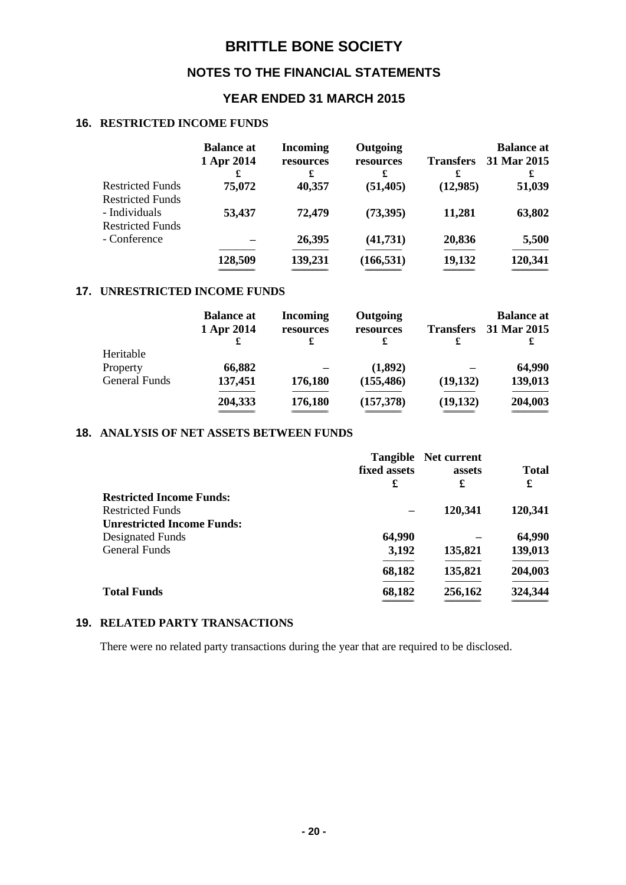### **NOTES TO THE FINANCIAL STATEMENTS**

### **YEAR ENDED 31 MARCH 2015**

### **16. RESTRICTED INCOME FUNDS**

|                                                                     | <b>Balance at</b><br>1 Apr 2014<br>£ | <b>Incoming</b><br>resources<br>£ | Outgoing<br>resources<br>£ | <b>Transfers</b><br>£ | <b>Balance at</b><br>31 Mar 2015<br>£ |
|---------------------------------------------------------------------|--------------------------------------|-----------------------------------|----------------------------|-----------------------|---------------------------------------|
| <b>Restricted Funds</b>                                             | 75,072                               | 40,357                            | (51, 405)                  | (12,985)              | 51,039                                |
| <b>Restricted Funds</b><br>- Individuals<br><b>Restricted Funds</b> | 53,437                               | 72,479                            | (73,395)                   | 11,281                | 63,802                                |
| - Conference                                                        |                                      | 26,395                            | (41,731)                   | 20,836                | 5,500                                 |
|                                                                     | 128,509                              | 139,231                           | (166, 531)                 | 19,132                | 120,341                               |

#### **17. UNRESTRICTED INCOME FUNDS**

|                      | <b>Balance at</b><br>1 Apr 2014<br>£ | <b>Incoming</b><br>resources<br>£ | Outgoing<br>resources<br>£ | <b>Transfers</b><br>£ | <b>Balance at</b><br>31 Mar 2015<br>£ |
|----------------------|--------------------------------------|-----------------------------------|----------------------------|-----------------------|---------------------------------------|
| Heritable            |                                      |                                   |                            |                       |                                       |
| Property             | 66,882                               |                                   | (1,892)                    |                       | 64,990                                |
| <b>General Funds</b> | 137,451                              | 176,180                           | (155, 486)                 | (19, 132)             | 139,013                               |
|                      | 204,333                              | 176,180                           | (157, 378)                 | (19, 132)             | 204,003                               |

### **18. ANALYSIS OF NET ASSETS BETWEEN FUNDS**

|                                   | fixed assets | <b>Tangible</b> Net current<br>assets | <b>Total</b> |
|-----------------------------------|--------------|---------------------------------------|--------------|
|                                   | £            | £                                     | £            |
| <b>Restricted Income Funds:</b>   |              |                                       |              |
| <b>Restricted Funds</b>           |              | 120,341                               | 120,341      |
| <b>Unrestricted Income Funds:</b> |              |                                       |              |
| Designated Funds                  | 64,990       |                                       | 64,990       |
| <b>General Funds</b>              | 3,192        | 135,821                               | 139,013      |
|                                   | 68,182       | 135,821                               | 204,003      |
| <b>Total Funds</b>                | 68,182       | 256,162                               | 324,344      |
|                                   |              |                                       |              |

### **19. RELATED PARTY TRANSACTIONS**

There were no related party transactions during the year that are required to be disclosed.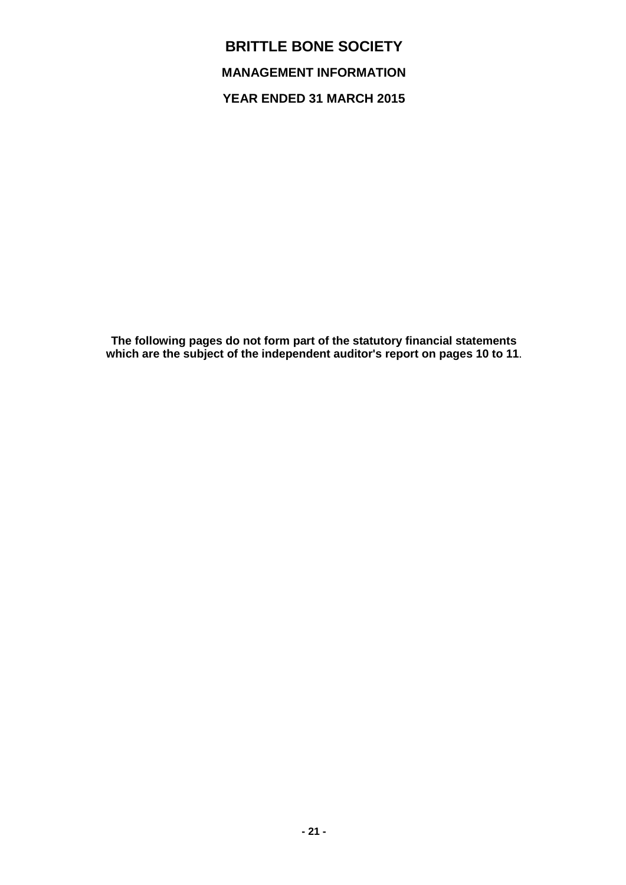# **BRITTLE BONE SOCIETY MANAGEMENT INFORMATION YEAR ENDED 31 MARCH 2015**

**The following pages do not form part of the statutory financial statements which are the subject of the independent auditor's report on pages 10 to 11**.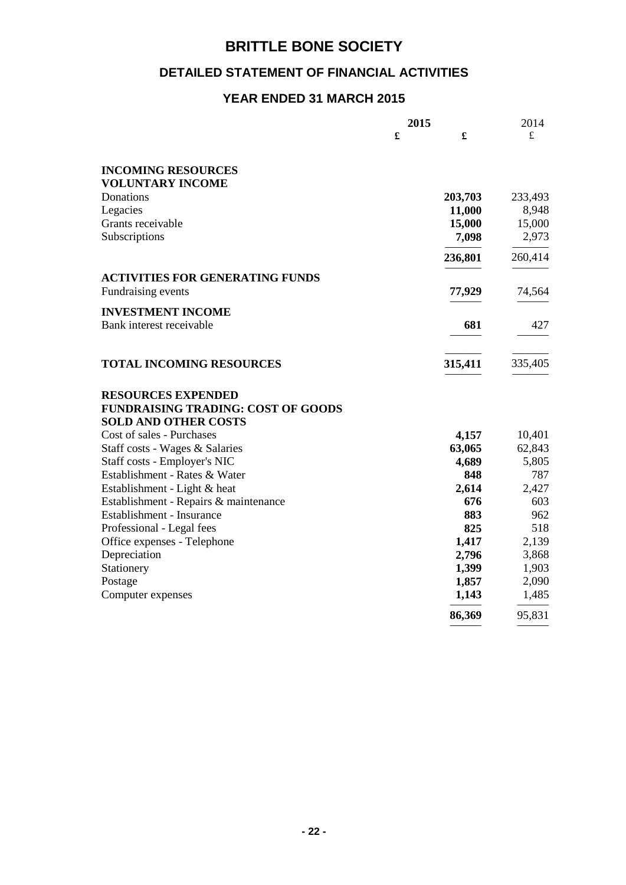## **DETAILED STATEMENT OF FINANCIAL ACTIVITIES**

## **YEAR ENDED 31 MARCH 2015**

|                                                          | 2015 |                 | 2014      |  |
|----------------------------------------------------------|------|-----------------|-----------|--|
|                                                          | £    | £               | $\pounds$ |  |
| <b>INCOMING RESOURCES</b>                                |      |                 |           |  |
| <b>VOLUNTARY INCOME</b>                                  |      |                 |           |  |
| Donations                                                |      | 203,703         | 233,493   |  |
| Legacies                                                 |      | 11,000          | 8,948     |  |
| Grants receivable                                        |      | 15,000          | 15,000    |  |
| Subscriptions                                            |      | 7,098           | 2,973     |  |
|                                                          |      | 236,801         | 260,414   |  |
| <b>ACTIVITIES FOR GENERATING FUNDS</b>                   |      |                 |           |  |
| Fundraising events                                       |      | 77,929          | 74,564    |  |
| <b>INVESTMENT INCOME</b>                                 |      |                 |           |  |
| Bank interest receivable                                 |      | 681             | 427       |  |
| <b>TOTAL INCOMING RESOURCES</b>                          |      | 315,411         | 335,405   |  |
| <b>RESOURCES EXPENDED</b>                                |      |                 |           |  |
| <b>FUNDRAISING TRADING: COST OF GOODS</b>                |      |                 |           |  |
| <b>SOLD AND OTHER COSTS</b><br>Cost of sales - Purchases |      |                 | 10,401    |  |
| Staff costs - Wages & Salaries                           |      | 4,157<br>63,065 | 62,843    |  |
| Staff costs - Employer's NIC                             |      | 4,689           | 5,805     |  |
| Establishment - Rates & Water                            |      | 848             | 787       |  |
| Establishment - Light & heat                             |      | 2,614           | 2,427     |  |
| Establishment - Repairs & maintenance                    |      | 676             | 603       |  |
| Establishment - Insurance                                |      | 883             | 962       |  |
| Professional - Legal fees                                |      | 825             | 518       |  |
| Office expenses - Telephone                              |      | 1,417           | 2,139     |  |
| Depreciation                                             |      | 2,796           | 3,868     |  |
| Stationery                                               |      | 1,399           | 1,903     |  |
| Postage                                                  |      | 1,857           | 2,090     |  |
| Computer expenses                                        |      | 1,143           | 1,485     |  |
|                                                          |      | 86,369          | 95,831    |  |

------------------------------- -------------------------------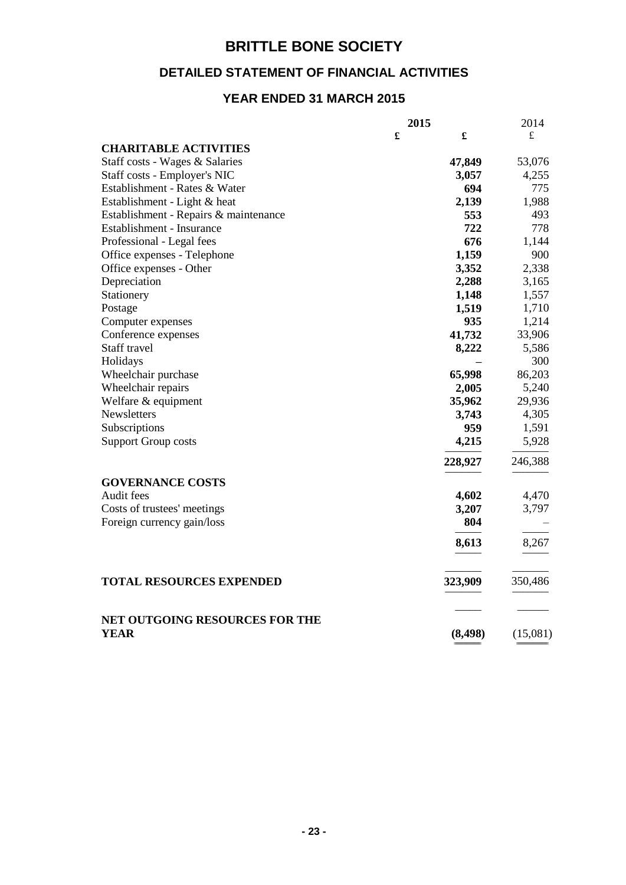## **DETAILED STATEMENT OF FINANCIAL ACTIVITIES**

|                                       | 2015     | 2014      |
|---------------------------------------|----------|-----------|
|                                       | £<br>£   | $\pounds$ |
| <b>CHARITABLE ACTIVITIES</b>          |          |           |
| Staff costs - Wages & Salaries        | 47,849   | 53,076    |
| Staff costs - Employer's NIC          | 3,057    | 4,255     |
| Establishment - Rates & Water         | 694      | 775       |
| Establishment - Light & heat          | 2,139    | 1,988     |
| Establishment - Repairs & maintenance | 553      | 493       |
| Establishment - Insurance             | 722      | 778       |
| Professional - Legal fees             | 676      | 1,144     |
| Office expenses - Telephone           | 1,159    | 900       |
| Office expenses - Other               | 3,352    | 2,338     |
| Depreciation                          | 2,288    | 3,165     |
| Stationery                            | 1,148    | 1,557     |
| Postage                               | 1,519    | 1,710     |
| Computer expenses                     | 935      | 1,214     |
| Conference expenses                   | 41,732   | 33,906    |
| Staff travel                          | 8,222    | 5,586     |
| Holidays                              |          | 300       |
| Wheelchair purchase                   | 65,998   | 86,203    |
| Wheelchair repairs                    | 2,005    | 5,240     |
| Welfare & equipment                   | 35,962   | 29,936    |
| Newsletters                           | 3,743    | 4,305     |
| Subscriptions                         | 959      | 1,591     |
| <b>Support Group costs</b>            | 4,215    | 5,928     |
|                                       | 228,927  | 246,388   |
| <b>GOVERNANCE COSTS</b>               |          |           |
| Audit fees                            | 4,602    | 4,470     |
| Costs of trustees' meetings           | 3,207    | 3,797     |
| Foreign currency gain/loss            | 804      |           |
|                                       | 8,613    | 8,267     |
| <b>TOTAL RESOURCES EXPENDED</b>       | 323,909  | 350,486   |
| <b>NET OUTGOING RESOURCES FOR THE</b> |          |           |
| <b>YEAR</b>                           | (8, 498) | (15,081)  |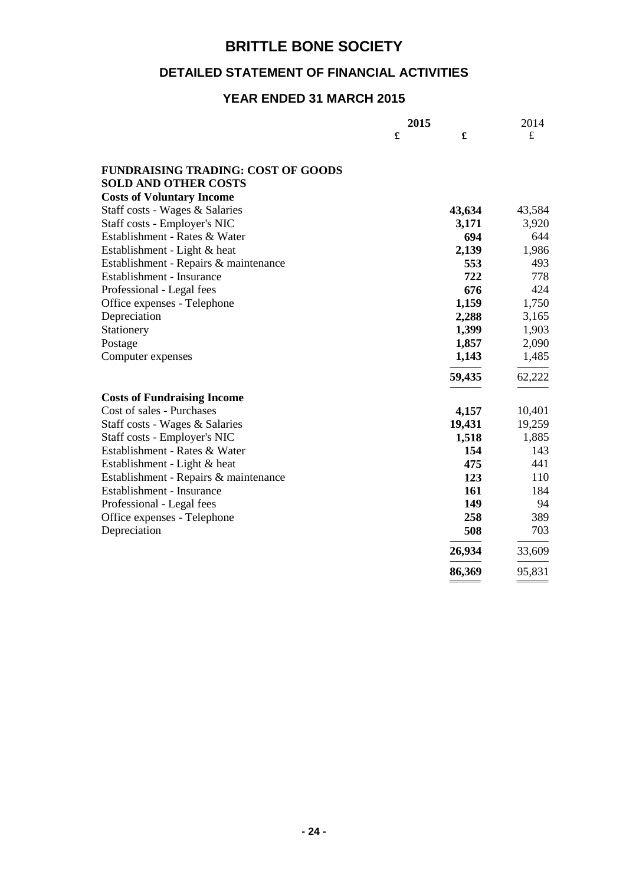## **DETAILED STATEMENT OF FINANCIAL ACTIVITIES**

|                                           |   | 2015       |             |
|-------------------------------------------|---|------------|-------------|
|                                           | £ | £          | $\mathbf f$ |
| <b>FUNDRAISING TRADING: COST OF GOODS</b> |   |            |             |
| <b>SOLD AND OTHER COSTS</b>               |   |            |             |
| <b>Costs of Voluntary Income</b>          |   |            |             |
| Staff costs - Wages & Salaries            |   | 43,634     | 43,584      |
| Staff costs - Employer's NIC              |   | 3,171      | 3,920       |
| Establishment - Rates & Water             |   | 694        | 644         |
| Establishment - Light & heat              |   | 2,139      | 1,986       |
| Establishment - Repairs & maintenance     |   | 553        | 493         |
| Establishment - Insurance                 |   | 722        | 778         |
| Professional - Legal fees                 |   | 676        | 424         |
| Office expenses - Telephone               |   | 1,159      | 1,750       |
| Depreciation                              |   | 2,288      | 3,165       |
| Stationery                                |   | 1,399      | 1,903       |
| Postage                                   |   | 1,857      | 2,090       |
| Computer expenses                         |   | 1,143      | 1,485       |
|                                           |   | 59,435     | 62,222      |
| <b>Costs of Fundraising Income</b>        |   |            |             |
| Cost of sales - Purchases                 |   | 4,157      | 10,401      |
| Staff costs - Wages & Salaries            |   | 19,431     | 19,259      |
| Staff costs - Employer's NIC              |   | 1,518      | 1,885       |
| Establishment - Rates & Water             |   | 154        | 143         |
| Establishment - Light & heat              |   | 475        | 441         |
| Establishment - Repairs & maintenance     |   | 123        | 110         |
| Establishment - Insurance                 |   | <b>161</b> | 184         |
| Professional - Legal fees                 |   | 149        | 94          |
| Office expenses - Telephone               |   | 258        | 389         |
| Depreciation                              |   | 508        | 703         |
|                                           |   | 26,934     | 33,609      |
|                                           |   | 86,369     | 95,831      |
|                                           |   |            |             |